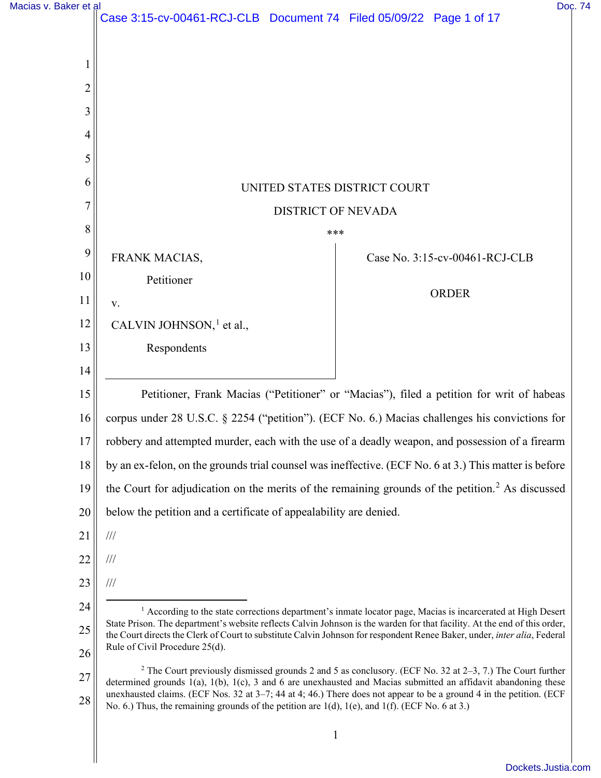| Macias v. Baker et al |                                                                                                                                                                                                                                                       |                                                                                                                         | Doc. 74 |
|-----------------------|-------------------------------------------------------------------------------------------------------------------------------------------------------------------------------------------------------------------------------------------------------|-------------------------------------------------------------------------------------------------------------------------|---------|
|                       | Case 3:15-cv-00461-RCJ-CLB  Document 74  Filed 05/09/22  Page 1 of 17                                                                                                                                                                                 |                                                                                                                         |         |
|                       |                                                                                                                                                                                                                                                       |                                                                                                                         |         |
|                       |                                                                                                                                                                                                                                                       |                                                                                                                         |         |
| 2                     |                                                                                                                                                                                                                                                       |                                                                                                                         |         |
| 3                     |                                                                                                                                                                                                                                                       |                                                                                                                         |         |
| 4                     |                                                                                                                                                                                                                                                       |                                                                                                                         |         |
| 5                     |                                                                                                                                                                                                                                                       |                                                                                                                         |         |
| 6                     |                                                                                                                                                                                                                                                       | UNITED STATES DISTRICT COURT                                                                                            |         |
| 7                     |                                                                                                                                                                                                                                                       | <b>DISTRICT OF NEVADA</b>                                                                                               |         |
| 8                     |                                                                                                                                                                                                                                                       | ***                                                                                                                     |         |
| 9                     | FRANK MACIAS,                                                                                                                                                                                                                                         | Case No. 3:15-cv-00461-RCJ-CLB                                                                                          |         |
| 10                    | Petitioner                                                                                                                                                                                                                                            |                                                                                                                         |         |
| 11                    | V.                                                                                                                                                                                                                                                    | <b>ORDER</b>                                                                                                            |         |
| 12                    | CALVIN JOHNSON, $1$ et al.,                                                                                                                                                                                                                           |                                                                                                                         |         |
| 13                    | Respondents                                                                                                                                                                                                                                           |                                                                                                                         |         |
| 14                    |                                                                                                                                                                                                                                                       |                                                                                                                         |         |
| 15                    |                                                                                                                                                                                                                                                       | Petitioner, Frank Macias ("Petitioner" or "Macias"), filed a petition for writ of habeas                                |         |
| 16                    | corpus under 28 U.S.C. § 2254 ("petition"). (ECF No. 6.) Macias challenges his convictions for                                                                                                                                                        |                                                                                                                         |         |
| 17                    | robbery and attempted murder, each with the use of a deadly weapon, and possession of a firearm                                                                                                                                                       |                                                                                                                         |         |
| 18                    | by an ex-felon, on the grounds trial counsel was ineffective. (ECF No. 6 at 3.) This matter is before                                                                                                                                                 |                                                                                                                         |         |
| 19                    | the Court for adjudication on the merits of the remaining grounds of the petition. <sup>2</sup> As discussed                                                                                                                                          |                                                                                                                         |         |
| 20                    | below the petition and a certificate of appealability are denied.                                                                                                                                                                                     |                                                                                                                         |         |
| 21                    | $\frac{1}{1}$                                                                                                                                                                                                                                         |                                                                                                                         |         |
| 22                    | $\frac{1}{1}$                                                                                                                                                                                                                                         |                                                                                                                         |         |
| 23                    | $/ \! / \! /$                                                                                                                                                                                                                                         |                                                                                                                         |         |
| 24                    |                                                                                                                                                                                                                                                       | <sup>1</sup> According to the state corrections department's inmate locator page, Macias is incarcerated at High Desert |         |
| 25                    | State Prison. The department's website reflects Calvin Johnson is the warden for that facility. At the end of this order,<br>the Court directs the Clerk of Court to substitute Calvin Johnson for respondent Renee Baker, under, inter alia, Federal |                                                                                                                         |         |
| 26                    | Rule of Civil Procedure 25(d).                                                                                                                                                                                                                        |                                                                                                                         |         |
| 27                    | determined grounds $1(a)$ , $1(b)$ , $1(c)$ , 3 and 6 are unexhausted and Macias submitted an affidavit abandoning these                                                                                                                              | <sup>2</sup> The Court previously dismissed grounds 2 and 5 as conclusory. (ECF No. 32 at $2-3$ , 7.) The Court further |         |
| 28                    | unexhausted claims. (ECF Nos. 32 at 3–7; 44 at 4; 46.) There does not appear to be a ground 4 in the petition. (ECF<br>No. 6.) Thus, the remaining grounds of the petition are 1(d), 1(e), and 1(f). (ECF No. 6 at 3.)                                |                                                                                                                         |         |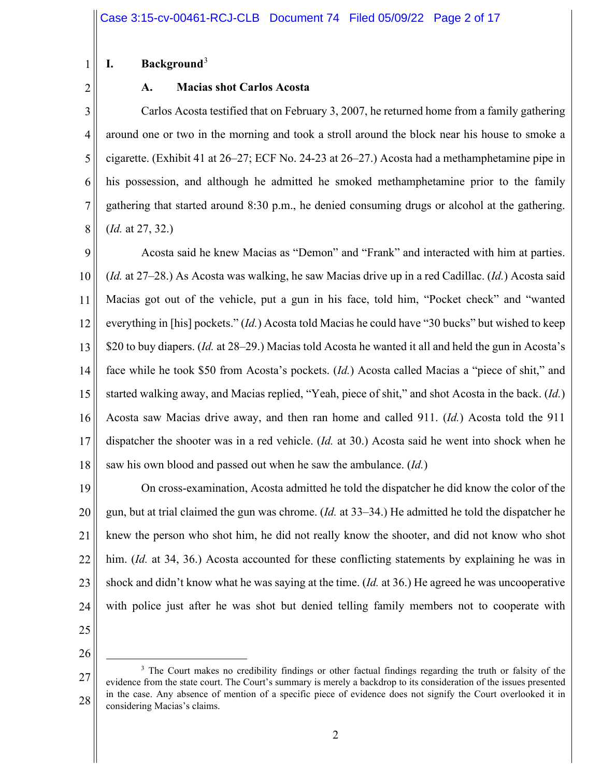#### 1 **I. Background**<sup>3</sup>

2

## **A. Macias shot Carlos Acosta**

3 4 5 6 7 8 Carlos Acosta testified that on February 3, 2007, he returned home from a family gathering around one or two in the morning and took a stroll around the block near his house to smoke a cigarette. (Exhibit 41 at 26–27; ECF No. 24-23 at 26–27.) Acosta had a methamphetamine pipe in his possession, and although he admitted he smoked methamphetamine prior to the family gathering that started around 8:30 p.m., he denied consuming drugs or alcohol at the gathering. (*Id.* at 27, 32.)

9 10 11 12 13 14 15 16 17 18 Acosta said he knew Macias as "Demon" and "Frank" and interacted with him at parties. (*Id.* at 27–28.) As Acosta was walking, he saw Macias drive up in a red Cadillac. (*Id.*) Acosta said Macias got out of the vehicle, put a gun in his face, told him, "Pocket check" and "wanted everything in [his] pockets." (*Id.*) Acosta told Macias he could have "30 bucks" but wished to keep \$20 to buy diapers. (*Id.* at 28–29.) Macias told Acosta he wanted it all and held the gun in Acosta's face while he took \$50 from Acosta's pockets. (*Id.*) Acosta called Macias a "piece of shit," and started walking away, and Macias replied, "Yeah, piece of shit," and shot Acosta in the back. (*Id.*) Acosta saw Macias drive away, and then ran home and called 911. (*Id.*) Acosta told the 911 dispatcher the shooter was in a red vehicle. (*Id.* at 30.) Acosta said he went into shock when he saw his own blood and passed out when he saw the ambulance. (*Id.*)

19 20 21 22 23 24 25 On cross-examination, Acosta admitted he told the dispatcher he did know the color of the gun, but at trial claimed the gun was chrome. (*Id.* at 33–34.) He admitted he told the dispatcher he knew the person who shot him, he did not really know the shooter, and did not know who shot him. (*Id.* at 34, 36.) Acosta accounted for these conflicting statements by explaining he was in shock and didn't know what he was saying at the time. (*Id.* at 36.) He agreed he was uncooperative with police just after he was shot but denied telling family members not to cooperate with

<sup>27</sup>  28 <sup>3</sup> The Court makes no credibility findings or other factual findings regarding the truth or falsity of the evidence from the state court. The Court's summary is merely a backdrop to its consideration of the issues presented in the case. Any absence of mention of a specific piece of evidence does not signify the Court overlooked it in considering Macias's claims.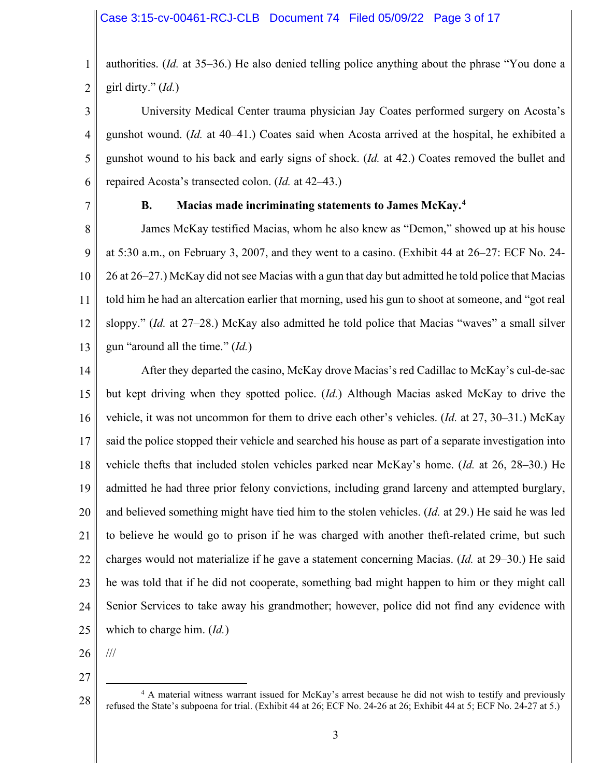1 2 authorities. (*Id.* at 35–36.) He also denied telling police anything about the phrase "You done a girl dirty." (*Id.*)

3 4 5 6 University Medical Center trauma physician Jay Coates performed surgery on Acosta's gunshot wound. (*Id.* at 40–41.) Coates said when Acosta arrived at the hospital, he exhibited a gunshot wound to his back and early signs of shock. (*Id.* at 42.) Coates removed the bullet and repaired Acosta's transected colon. (*Id.* at 42–43.)

7

### **B. Macias made incriminating statements to James McKay. 4**

8 9 10 11 12 13 James McKay testified Macias, whom he also knew as "Demon," showed up at his house at 5:30 a.m., on February 3, 2007, and they went to a casino. (Exhibit 44 at 26–27: ECF No. 24- 26 at 26–27.) McKay did not see Macias with a gun that day but admitted he told police that Macias told him he had an altercation earlier that morning, used his gun to shoot at someone, and "got real sloppy." (*Id.* at 27–28.) McKay also admitted he told police that Macias "waves" a small silver gun "around all the time." (*Id.*)

14 15 16 17 18 19 20 21 22 23 24 25 After they departed the casino, McKay drove Macias's red Cadillac to McKay's cul-de-sac but kept driving when they spotted police. (*Id.*) Although Macias asked McKay to drive the vehicle, it was not uncommon for them to drive each other's vehicles. (*Id.* at 27, 30–31.) McKay said the police stopped their vehicle and searched his house as part of a separate investigation into vehicle thefts that included stolen vehicles parked near McKay's home. (*Id.* at 26, 28–30.) He admitted he had three prior felony convictions, including grand larceny and attempted burglary, and believed something might have tied him to the stolen vehicles. (*Id.* at 29.) He said he was led to believe he would go to prison if he was charged with another theft-related crime, but such charges would not materialize if he gave a statement concerning Macias. (*Id.* at 29–30.) He said he was told that if he did not cooperate, something bad might happen to him or they might call Senior Services to take away his grandmother; however, police did not find any evidence with which to charge him. (*Id.*)

26 ///

27

<sup>4</sup> A material witness warrant issued for McKay's arrest because he did not wish to testify and previously refused the State's subpoena for trial. (Exhibit 44 at 26; ECF No. 24-26 at 26; Exhibit 44 at 5; ECF No. 24-27 at 5.)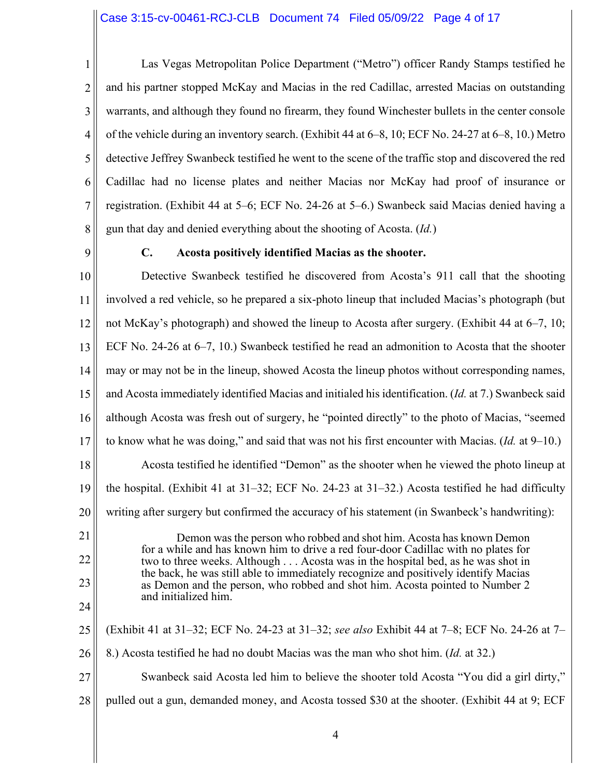1 2 3 4 5 6 7 8 Las Vegas Metropolitan Police Department ("Metro") officer Randy Stamps testified he and his partner stopped McKay and Macias in the red Cadillac, arrested Macias on outstanding warrants, and although they found no firearm, they found Winchester bullets in the center console of the vehicle during an inventory search. (Exhibit 44 at 6–8, 10; ECF No. 24-27 at 6–8, 10.) Metro detective Jeffrey Swanbeck testified he went to the scene of the traffic stop and discovered the red Cadillac had no license plates and neither Macias nor McKay had proof of insurance or registration. (Exhibit 44 at 5–6; ECF No. 24-26 at 5–6.) Swanbeck said Macias denied having a gun that day and denied everything about the shooting of Acosta. (*Id.*)

9

#### **C. Acosta positively identified Macias as the shooter.**

10 11 12 13 14 15 16 17 18 19 20 21 22 23 24 25 26 27 Detective Swanbeck testified he discovered from Acosta's 911 call that the shooting involved a red vehicle, so he prepared a six-photo lineup that included Macias's photograph (but not McKay's photograph) and showed the lineup to Acosta after surgery. (Exhibit 44 at 6–7, 10; ECF No. 24-26 at 6–7, 10.) Swanbeck testified he read an admonition to Acosta that the shooter may or may not be in the lineup, showed Acosta the lineup photos without corresponding names, and Acosta immediately identified Macias and initialed his identification. (*Id.* at 7.) Swanbeck said although Acosta was fresh out of surgery, he "pointed directly" to the photo of Macias, "seemed to know what he was doing," and said that was not his first encounter with Macias. (*Id.* at 9–10.) Acosta testified he identified "Demon" as the shooter when he viewed the photo lineup at the hospital. (Exhibit 41 at 31–32; ECF No. 24-23 at 31–32.) Acosta testified he had difficulty writing after surgery but confirmed the accuracy of his statement (in Swanbeck's handwriting): Demon was the person who robbed and shot him. Acosta has known Demon for a while and has known him to drive a red four-door Cadillac with no plates for two to three weeks. Although . . . Acosta was in the hospital bed, as he was shot in the back, he was still able to immediately recognize and positively identify Macias as Demon and the person, who robbed and shot him. Acosta pointed to Number 2 and initialized him. (Exhibit 41 at 31–32; ECF No. 24-23 at 31–32; *see also* Exhibit 44 at 7–8; ECF No. 24-26 at 7– 8.) Acosta testified he had no doubt Macias was the man who shot him. (*Id.* at 32.) Swanbeck said Acosta led him to believe the shooter told Acosta "You did a girl dirty,"

28 pulled out a gun, demanded money, and Acosta tossed \$30 at the shooter. (Exhibit 44 at 9; ECF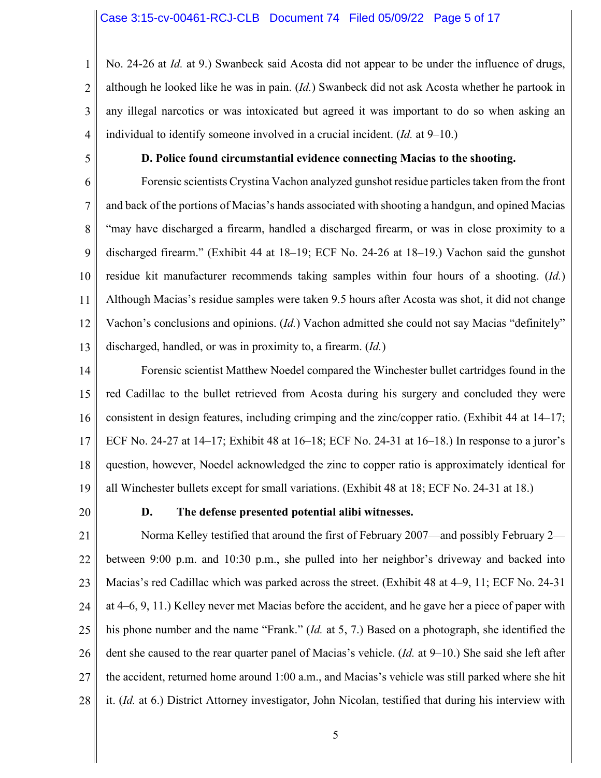1 2 3 4 No. 24-26 at *Id.* at 9.) Swanbeck said Acosta did not appear to be under the influence of drugs, although he looked like he was in pain. (*Id.*) Swanbeck did not ask Acosta whether he partook in any illegal narcotics or was intoxicated but agreed it was important to do so when asking an individual to identify someone involved in a crucial incident. (*Id.* at 9–10.)

5

#### **D. Police found circumstantial evidence connecting Macias to the shooting.**

6 7 8 9 10 11 12 13 Forensic scientists Crystina Vachon analyzed gunshot residue particles taken from the front and back of the portions of Macias's hands associated with shooting a handgun, and opined Macias "may have discharged a firearm, handled a discharged firearm, or was in close proximity to a discharged firearm." (Exhibit 44 at 18–19; ECF No. 24-26 at 18–19.) Vachon said the gunshot residue kit manufacturer recommends taking samples within four hours of a shooting. (*Id.*) Although Macias's residue samples were taken 9.5 hours after Acosta was shot, it did not change Vachon's conclusions and opinions. (*Id.*) Vachon admitted she could not say Macias "definitely" discharged, handled, or was in proximity to, a firearm. (*Id.*)

14 15 16 17 18 19 Forensic scientist Matthew Noedel compared the Winchester bullet cartridges found in the red Cadillac to the bullet retrieved from Acosta during his surgery and concluded they were consistent in design features, including crimping and the zinc/copper ratio. (Exhibit 44 at 14–17; ECF No. 24-27 at 14–17; Exhibit 48 at 16–18; ECF No. 24-31 at 16–18.) In response to a juror's question, however, Noedel acknowledged the zinc to copper ratio is approximately identical for all Winchester bullets except for small variations. (Exhibit 48 at 18; ECF No. 24-31 at 18.)

20

#### **D. The defense presented potential alibi witnesses.**

21 22 23 24 25 26 27 28 Norma Kelley testified that around the first of February 2007—and possibly February 2 between 9:00 p.m. and 10:30 p.m., she pulled into her neighbor's driveway and backed into Macias's red Cadillac which was parked across the street. (Exhibit 48 at 4–9, 11; ECF No. 24-31 at 4–6, 9, 11.) Kelley never met Macias before the accident, and he gave her a piece of paper with his phone number and the name "Frank." (*Id.* at 5, 7.) Based on a photograph, she identified the dent she caused to the rear quarter panel of Macias's vehicle. (*Id.* at 9–10.) She said she left after the accident, returned home around 1:00 a.m., and Macias's vehicle was still parked where she hit it. (*Id.* at 6.) District Attorney investigator, John Nicolan, testified that during his interview with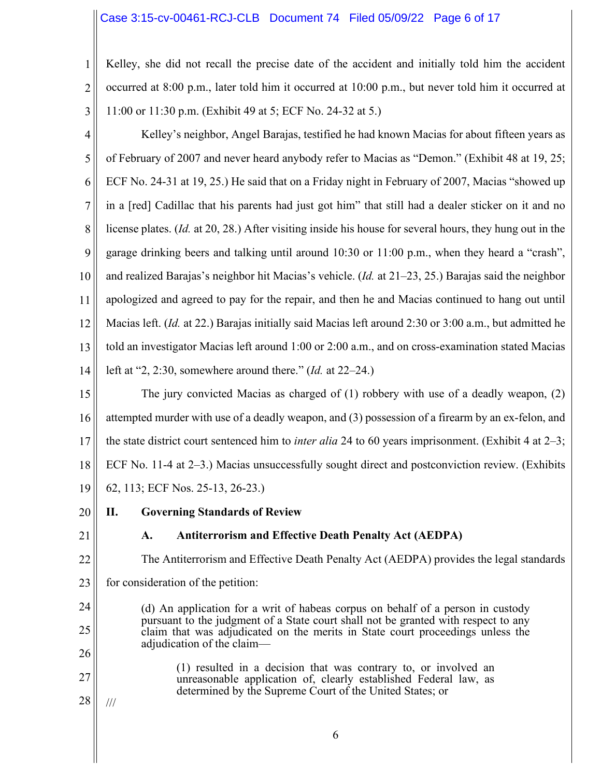#### Case 3:15-cv-00461-RCJ-CLB Document 74 Filed 05/09/22 Page 6 of 17

1 2 3 Kelley, she did not recall the precise date of the accident and initially told him the accident occurred at 8:00 p.m., later told him it occurred at 10:00 p.m., but never told him it occurred at 11:00 or 11:30 p.m. (Exhibit 49 at 5; ECF No. 24-32 at 5.)

4 5 6 7 8 9 10 11 12 13 14 Kelley's neighbor, Angel Barajas, testified he had known Macias for about fifteen years as of February of 2007 and never heard anybody refer to Macias as "Demon." (Exhibit 48 at 19, 25; ECF No. 24-31 at 19, 25.) He said that on a Friday night in February of 2007, Macias "showed up in a [red] Cadillac that his parents had just got him" that still had a dealer sticker on it and no license plates. (*Id.* at 20, 28.) After visiting inside his house for several hours, they hung out in the garage drinking beers and talking until around 10:30 or 11:00 p.m., when they heard a "crash", and realized Barajas's neighbor hit Macias's vehicle. (*Id.* at 21–23, 25.) Barajas said the neighbor apologized and agreed to pay for the repair, and then he and Macias continued to hang out until Macias left. (*Id.* at 22.) Barajas initially said Macias left around 2:30 or 3:00 a.m., but admitted he told an investigator Macias left around 1:00 or 2:00 a.m., and on cross-examination stated Macias left at "2, 2:30, somewhere around there." (*Id.* at 22–24.)

15 16 17 18 19 The jury convicted Macias as charged of (1) robbery with use of a deadly weapon, (2) attempted murder with use of a deadly weapon, and (3) possession of a firearm by an ex-felon, and the state district court sentenced him to *inter alia* 24 to 60 years imprisonment. (Exhibit 4 at 2–3; ECF No. 11-4 at 2–3.) Macias unsuccessfully sought direct and postconviction review. (Exhibits 62, 113; ECF Nos. 25-13, 26-23.)

- 20 **II. Governing Standards of Review**
- 21

22

## **A. Antiterrorism and Effective Death Penalty Act (AEDPA)**

The Antiterrorism and Effective Death Penalty Act (AEDPA) provides the legal standards

- 23 for consideration of the petition:
- 24 25 26 (d) An application for a writ of habeas corpus on behalf of a person in custody pursuant to the judgment of a State court shall not be granted with respect to any claim that was adjudicated on the merits in State court proceedings unless the adjudication of the claim—
	- (1) resulted in a decision that was contrary to, or involved an unreasonable application of, clearly established Federal law, as determined by the Supreme Court of the United States; or
- 28 ///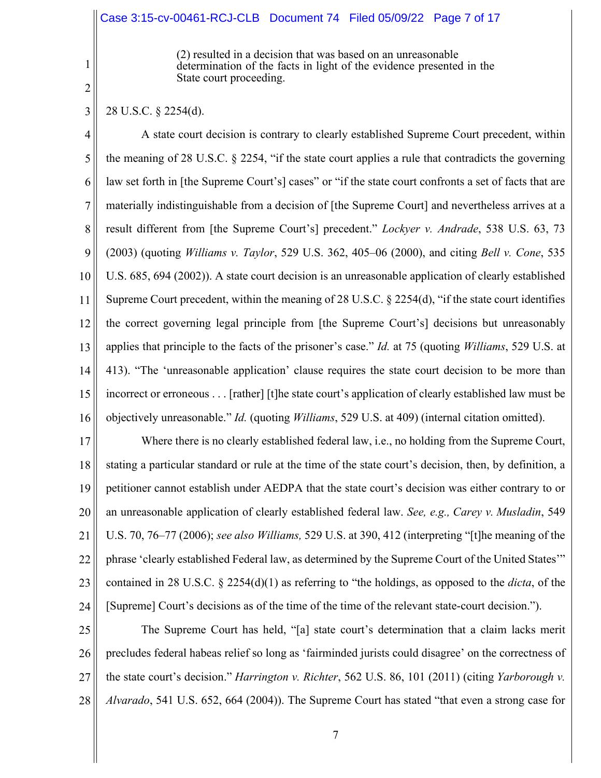#### Case 3:15-cv-00461-RCJ-CLB Document 74 Filed 05/09/22 Page 7 of 17

(2) resulted in a decision that was based on an unreasonable determination of the facts in light of the evidence presented in the State court proceeding.

2

3

1

28 U.S.C. § 2254(d).

4 5 6 7 8 9 10 11 12 13 14 15 16 A state court decision is contrary to clearly established Supreme Court precedent, within the meaning of 28 U.S.C. § 2254, "if the state court applies a rule that contradicts the governing law set forth in [the Supreme Court's] cases" or "if the state court confronts a set of facts that are materially indistinguishable from a decision of [the Supreme Court] and nevertheless arrives at a result different from [the Supreme Court's] precedent." *Lockyer v. Andrade*, 538 U.S. 63, 73 (2003) (quoting *Williams v. Taylor*, 529 U.S. 362, 405–06 (2000), and citing *Bell v. Cone*, 535 U.S. 685, 694 (2002)). A state court decision is an unreasonable application of clearly established Supreme Court precedent, within the meaning of 28 U.S.C.  $\S$  2254(d), "if the state court identifies the correct governing legal principle from [the Supreme Court's] decisions but unreasonably applies that principle to the facts of the prisoner's case." *Id.* at 75 (quoting *Williams*, 529 U.S. at 413). "The 'unreasonable application' clause requires the state court decision to be more than incorrect or erroneous . . . [rather] [t]he state court's application of clearly established law must be objectively unreasonable." *Id.* (quoting *Williams*, 529 U.S. at 409) (internal citation omitted).

17 18 19 20 21 22 23 24 Where there is no clearly established federal law, i.e., no holding from the Supreme Court, stating a particular standard or rule at the time of the state court's decision, then, by definition, a petitioner cannot establish under AEDPA that the state court's decision was either contrary to or an unreasonable application of clearly established federal law. *See, e.g., Carey v. Musladin*, 549 U.S. 70, 76–77 (2006); *see also Williams,* 529 U.S. at 390, 412 (interpreting "[t]he meaning of the phrase 'clearly established Federal law, as determined by the Supreme Court of the United States'" contained in 28 U.S.C. § 2254(d)(1) as referring to "the holdings, as opposed to the *dicta*, of the [Supreme] Court's decisions as of the time of the time of the relevant state-court decision.").

25 26 27 28 The Supreme Court has held, "[a] state court's determination that a claim lacks merit precludes federal habeas relief so long as 'fairminded jurists could disagree' on the correctness of the state court's decision." *Harrington v. Richter*, 562 U.S. 86, 101 (2011) (citing *Yarborough v. Alvarado*, 541 U.S. 652, 664 (2004)). The Supreme Court has stated "that even a strong case for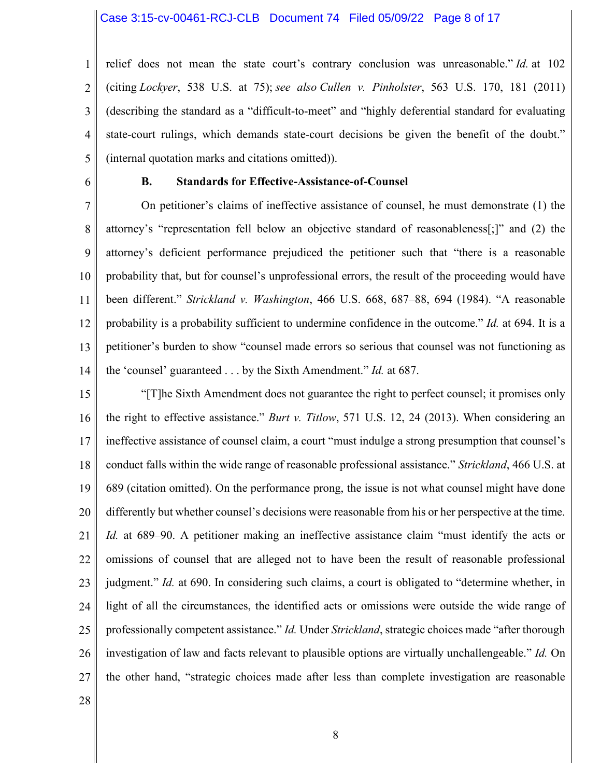#### Case 3:15-cv-00461-RCJ-CLB Document 74 Filed 05/09/22 Page 8 of 17

1 2 3 4 5 relief does not mean the state court's contrary conclusion was unreasonable." *Id.* at 102 (citing *Lockyer*, 538 U.S. at 75); *see also Cullen v. Pinholster*, 563 U.S. 170, 181 (2011) (describing the standard as a "difficult-to-meet" and "highly deferential standard for evaluating state-court rulings, which demands state-court decisions be given the benefit of the doubt." (internal quotation marks and citations omitted)).

6

#### **B. Standards for Effective-Assistance-of-Counsel**

7 8 9 10 11 12 13 14 On petitioner's claims of ineffective assistance of counsel, he must demonstrate (1) the attorney's "representation fell below an objective standard of reasonableness[;]" and (2) the attorney's deficient performance prejudiced the petitioner such that "there is a reasonable probability that, but for counsel's unprofessional errors, the result of the proceeding would have been different." *Strickland v. Washington*, 466 U.S. 668, 687–88, 694 (1984). "A reasonable probability is a probability sufficient to undermine confidence in the outcome." *Id.* at 694. It is a petitioner's burden to show "counsel made errors so serious that counsel was not functioning as the 'counsel' guaranteed . . . by the Sixth Amendment." *Id.* at 687.

15 16 17 18 19 20 21 22 23 24 25 26 27 "[T]he Sixth Amendment does not guarantee the right to perfect counsel; it promises only the right to effective assistance." *Burt v. Titlow*, 571 U.S. 12, 24 (2013). When considering an ineffective assistance of counsel claim, a court "must indulge a strong presumption that counsel's conduct falls within the wide range of reasonable professional assistance." *Strickland*, 466 U.S. at 689 (citation omitted). On the performance prong, the issue is not what counsel might have done differently but whether counsel's decisions were reasonable from his or her perspective at the time. *Id.* at 689–90. A petitioner making an ineffective assistance claim "must identify the acts or omissions of counsel that are alleged not to have been the result of reasonable professional judgment." *Id.* at 690. In considering such claims, a court is obligated to "determine whether, in light of all the circumstances, the identified acts or omissions were outside the wide range of professionally competent assistance." *Id.* Under *Strickland*, strategic choices made "after thorough investigation of law and facts relevant to plausible options are virtually unchallengeable." *Id.* On the other hand, "strategic choices made after less than complete investigation are reasonable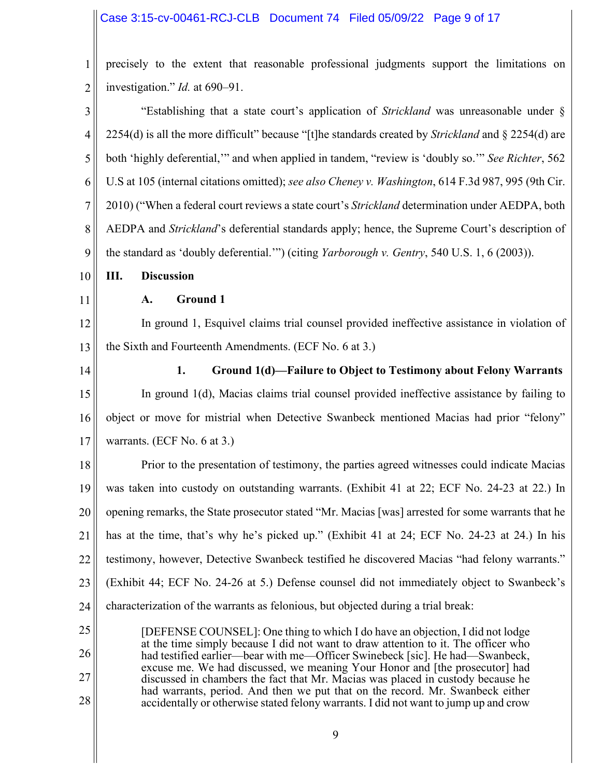# Case 3:15-cv-00461-RCJ-CLB Document 74 Filed 05/09/22 Page 9 of 17

 $\parallel$ 

| 1              | precisely to the extent that reasonable professional judgments support the limitations on                                                                             |
|----------------|-----------------------------------------------------------------------------------------------------------------------------------------------------------------------|
| 2              | investigation." <i>Id.</i> at 690–91.                                                                                                                                 |
| 3              | "Establishing that a state court's application of Strickland was unreasonable under §                                                                                 |
| $\overline{4}$ | 2254(d) is all the more difficult" because "[t]he standards created by Strickland and § 2254(d) are                                                                   |
| 5              | both 'highly deferential," and when applied in tandem, "review is 'doubly so." See Richter, 562                                                                       |
| 6              | U.S at 105 (internal citations omitted); see also Cheney v. Washington, 614 F.3d 987, 995 (9th Cir.                                                                   |
| 7              | 2010) ("When a federal court reviews a state court's Strickland determination under AEDPA, both                                                                       |
| 8              | AEDPA and Strickland's deferential standards apply; hence, the Supreme Court's description of                                                                         |
| 9              | the standard as 'doubly deferential."") (citing Yarborough v. Gentry, 540 U.S. 1, 6 (2003)).                                                                          |
| 10             | <b>Discussion</b><br>Ш.                                                                                                                                               |
| 11             | <b>Ground 1</b><br>A.                                                                                                                                                 |
| 12             | In ground 1, Esquivel claims trial counsel provided ineffective assistance in violation of                                                                            |
| 13             | the Sixth and Fourteenth Amendments. (ECF No. 6 at 3.)                                                                                                                |
| 14             | 1.<br>Ground 1(d)—Failure to Object to Testimony about Felony Warrants                                                                                                |
| 15             | In ground 1(d), Macias claims trial counsel provided ineffective assistance by failing to                                                                             |
| 16             | object or move for mistrial when Detective Swanbeck mentioned Macias had prior "felony"                                                                               |
| 17             | warrants. (ECF No. 6 at 3.)                                                                                                                                           |
| 18             | Prior to the presentation of testimony, the parties agreed witnesses could indicate Macias                                                                            |
| 19             | was taken into custody on outstanding warrants. (Exhibit 41 at 22; ECF No. 24-23 at 22.) In                                                                           |
| 20             | opening remarks, the State prosecutor stated "Mr. Macias [was] arrested for some warrants that he                                                                     |
| 21             | has at the time, that's why he's picked up." (Exhibit 41 at 24; ECF No. 24-23 at 24.) In his                                                                          |
| 22             | testimony, however, Detective Swanbeck testified he discovered Macias "had felony warrants."                                                                          |
| 23             | (Exhibit 44; ECF No. 24-26 at 5.) Defense counsel did not immediately object to Swanbeck's                                                                            |
| 24             | characterization of the warrants as felonious, but objected during a trial break:                                                                                     |
| 25             | [DEFENSE COUNSEL]: One thing to which I do have an objection, I did not lodge                                                                                         |
| 26             | at the time simply because I did not want to draw attention to it. The officer who<br>had testified earlier—bear with me—Officer Swinebeck [sic]. He had—Swanbeck,    |
| 27             | excuse me. We had discussed, we meaning Your Honor and [the prosecutor] had<br>discussed in chambers the fact that Mr. Macias was placed in custody because he        |
| 28             | had warrants, period. And then we put that on the record. Mr. Swanbeck either<br>accidentally or otherwise stated felony warrants. I did not want to jump up and crow |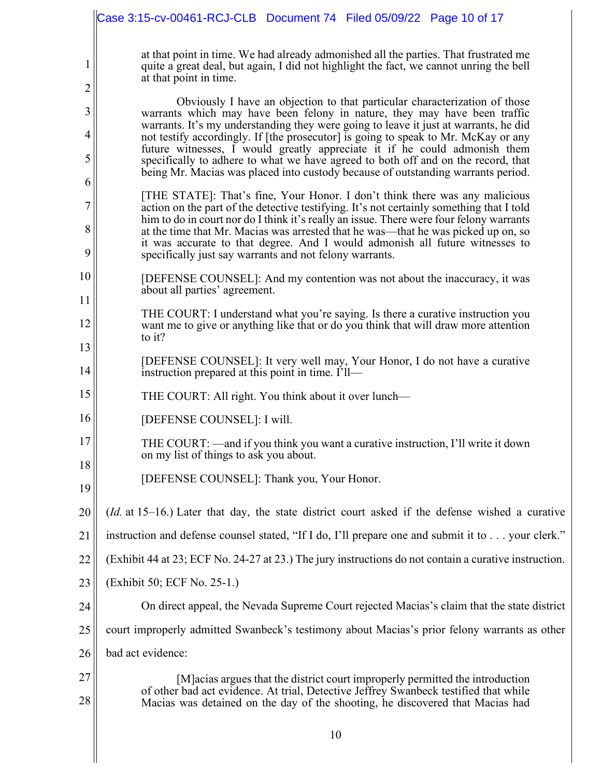|                  | Case 3:15-cv-00461-RCJ-CLB  Document 74  Filed 05/09/22  Page 10 of 17                                                                                                                                                                                                                                                                                                                                                                                                                                                                                                                      |
|------------------|---------------------------------------------------------------------------------------------------------------------------------------------------------------------------------------------------------------------------------------------------------------------------------------------------------------------------------------------------------------------------------------------------------------------------------------------------------------------------------------------------------------------------------------------------------------------------------------------|
| 1<br>2           | at that point in time. We had already admonished all the parties. That frustrated me<br>quite a great deal, but again, I did not highlight the fact, we cannot unring the bell<br>at that point in time.                                                                                                                                                                                                                                                                                                                                                                                    |
| 3<br>4<br>5<br>6 | Obviously I have an objection to that particular characterization of those<br>warrants which may have been felony in nature, they may have been traffic<br>warrants. It's my understanding they were going to leave it just at warrants, he did<br>not testify accordingly. If [the prosecutor] is going to speak to Mr. McKay or any<br>future witnesses, I would greatly appreciate it if he could admonish them<br>specifically to adhere to what we have agreed to both off and on the record, that<br>being Mr. Macias was placed into custody because of outstanding warrants period. |
| 7<br>8<br>9      | [THE STATE]: That's fine, Your Honor. I don't think there was any malicious<br>action on the part of the detective testifying. It's not certainly something that I told<br>him to do in court nor do I think it's really an issue. There were four felony warrants<br>at the time that Mr. Macias was arrested that he was—that he was picked up on, so<br>it was accurate to that degree. And I would admonish all future witnesses to<br>specifically just say warrants and not felony warrants.                                                                                          |
| 10<br>11         | [DEFENSE COUNSEL]: And my contention was not about the inaccuracy, it was<br>about all parties' agreement.                                                                                                                                                                                                                                                                                                                                                                                                                                                                                  |
| 12               | THE COURT: I understand what you're saying. Is there a curative instruction you<br>want me to give or anything like that or do you think that will draw more attention<br>to it?                                                                                                                                                                                                                                                                                                                                                                                                            |
| 13<br>14         | [DEFENSE COUNSEL]: It very well may, Your Honor, I do not have a curative<br>instruction prepared at this point in time. I'll—                                                                                                                                                                                                                                                                                                                                                                                                                                                              |
| 15               | THE COURT: All right. You think about it over lunch—                                                                                                                                                                                                                                                                                                                                                                                                                                                                                                                                        |
| 16               | [DEFENSE COUNSEL]: I will.                                                                                                                                                                                                                                                                                                                                                                                                                                                                                                                                                                  |
| 17<br>18         | THE COURT: —and if you think you want a curative instruction, I'll write it down<br>on my list of things to ask you about.                                                                                                                                                                                                                                                                                                                                                                                                                                                                  |
| 19               | [DEFENSE COUNSEL]: Thank you, Your Honor.                                                                                                                                                                                                                                                                                                                                                                                                                                                                                                                                                   |
| 20               | ( <i>Id.</i> at 15–16.) Later that day, the state district court asked if the defense wished a curative                                                                                                                                                                                                                                                                                                                                                                                                                                                                                     |
| 21               | instruction and defense counsel stated, "If I do, I'll prepare one and submit it to your clerk."                                                                                                                                                                                                                                                                                                                                                                                                                                                                                            |
| 22               | (Exhibit 44 at 23; ECF No. 24-27 at 23.) The jury instructions do not contain a curative instruction.                                                                                                                                                                                                                                                                                                                                                                                                                                                                                       |
| 23               | (Exhibit 50; ECF No. 25-1.)                                                                                                                                                                                                                                                                                                                                                                                                                                                                                                                                                                 |
| 24               | On direct appeal, the Nevada Supreme Court rejected Macias's claim that the state district                                                                                                                                                                                                                                                                                                                                                                                                                                                                                                  |
| 25               | court improperly admitted Swanbeck's testimony about Macias's prior felony warrants as other                                                                                                                                                                                                                                                                                                                                                                                                                                                                                                |
| 26               | bad act evidence:                                                                                                                                                                                                                                                                                                                                                                                                                                                                                                                                                                           |
| 27<br>28         | [M] acias argues that the district court improperly permitted the introduction<br>of other bad act evidence. At trial, Detective Jeffrey Swanbeck testified that while<br>Macias was detained on the day of the shooting, he discovered that Macias had                                                                                                                                                                                                                                                                                                                                     |
|                  | 10                                                                                                                                                                                                                                                                                                                                                                                                                                                                                                                                                                                          |
|                  |                                                                                                                                                                                                                                                                                                                                                                                                                                                                                                                                                                                             |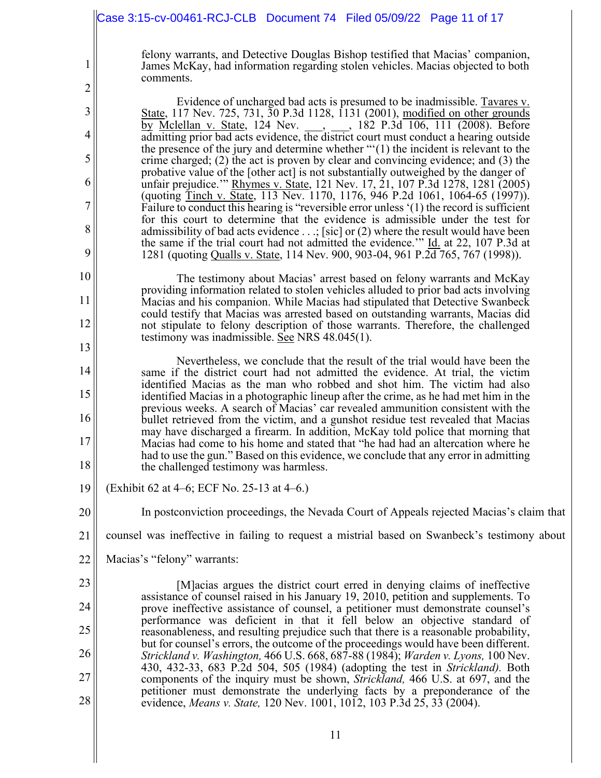|                               | Case 3:15-cv-00461-RCJ-CLB  Document 74  Filed 05/09/22  Page 11 of 17                                                                                                                                                                                              |
|-------------------------------|---------------------------------------------------------------------------------------------------------------------------------------------------------------------------------------------------------------------------------------------------------------------|
| $\mathbf 1$<br>$\overline{c}$ | felony warrants, and Detective Douglas Bishop testified that Macias' companion,<br>James McKay, had information regarding stolen vehicles. Macias objected to both<br>comments.                                                                                     |
| 3                             | Evidence of uncharged bad acts is presumed to be inadmissible. Tavares v.<br>State, 117 Nev. 725, 731, 30 P.3d 1128, 1131 (2001), modified on other grounds                                                                                                         |
| 4                             | by Mclellan v. State, 124 Nev. , , , , 182 P.3d 106, 111 (2008). Before<br>admitting prior bad acts evidence, the district court must conduct a hearing outside                                                                                                     |
| 5                             | the presence of the jury and determine whether $\lq\lq(1)$ the incident is relevant to the<br>crime charged; $(2)$ the act is proven by clear and convincing evidence; and $(3)$ the                                                                                |
| 6                             | probative value of the [other act] is not substantially outweighed by the danger of<br>unfair prejudice." Rhymes v. State, 121 Nev. 17, 21, 107 P.3d 1278, 1281 (2005)                                                                                              |
| 7                             | (quoting Tinch v. State, 113 Nev. 1170, 1176, 946 P.2d 1061, 1064-65 (1997)).<br>Failure to conduct this hearing is "reversible error unless '(1) the record is sufficient                                                                                          |
| 8                             | for this court to determine that the evidence is admissible under the test for<br>admissibility of bad acts evidence $\ldots$ ; [sic] or (2) where the result would have been<br>the same if the trial court had not admitted the evidence." Id. at 22, 107 P.3d at |
| 9                             | 1281 (quoting Qualls v. State, 114 Nev. 900, 903-04, 961 P.2d 765, 767 (1998)).                                                                                                                                                                                     |
| 10                            | The testimony about Macias' arrest based on felony warrants and McKay<br>providing information related to stolen vehicles alluded to prior bad acts involving                                                                                                       |
| 11                            | Macias and his companion. While Macias had stipulated that Detective Swanbeck<br>could testify that Macias was arrested based on outstanding warrants, Macias did                                                                                                   |
| 12                            | not stipulate to felony description of those warrants. Therefore, the challenged<br>testimony was inadmissible. See NRS $48.045(1)$ .                                                                                                                               |
| 13<br>14                      | Nevertheless, we conclude that the result of the trial would have been the                                                                                                                                                                                          |
| 15                            | same if the district court had not admitted the evidence. At trial, the victim<br>identified Macias as the man who robbed and shot him. The victim had also<br>identified Macias in a photographic lineup after the crime, as he had met him in the                 |
| 16                            | previous weeks. A search of Macias' car revealed ammunition consistent with the<br>bullet retrieved from the victim, and a gunshot residue test revealed that Macias                                                                                                |
| 17                            | may have discharged a firearm. In addition, McKay told police that morning that<br>Macias had come to his home and stated that "he had had an altercation where he                                                                                                  |
| 18                            | had to use the gun." Based on this evidence, we conclude that any error in admitting<br>the challenged testimony was harmless.                                                                                                                                      |
| 19                            | (Exhibit 62 at 4–6; ECF No. 25-13 at 4–6.)                                                                                                                                                                                                                          |
| 20                            | In postconviction proceedings, the Nevada Court of Appeals rejected Macias's claim that                                                                                                                                                                             |
| 21                            | counsel was ineffective in failing to request a mistrial based on Swanbeck's testimony about                                                                                                                                                                        |
| 22                            | Macias's "felony" warrants:                                                                                                                                                                                                                                         |
| 23                            | [M] acias argues the district court erred in denying claims of ineffective<br>assistance of counsel raised in his January 19, 2010, petition and supplements. To                                                                                                    |
| 24                            | prove ineffective assistance of counsel, a petitioner must demonstrate counsel's<br>performance was deficient in that it fell below an objective standard of                                                                                                        |
| 25                            | reasonableness, and resulting prejudice such that there is a reasonable probability,<br>but for counsel's errors, the outcome of the proceedings would have been different.                                                                                         |
| 26<br>27                      | Strickland v. Washington, 466 U.S. 668, 687-88 (1984); Warden v. Lyons, 100 Nev.<br>430, 432-33, 683 P.2d 504, 505 (1984) (adopting the test in <i>Strickland</i> ). Both                                                                                           |
| 28                            | components of the inquiry must be shown, Strickland, 466 U.S. at 697, and the<br>petitioner must demonstrate the underlying facts by a preponderance of the<br>evidence, Means v. State, 120 Nev. 1001, 1012, 103 P.3d 25, 33 (2004).                               |
|                               |                                                                                                                                                                                                                                                                     |

 $\mathsf{I}$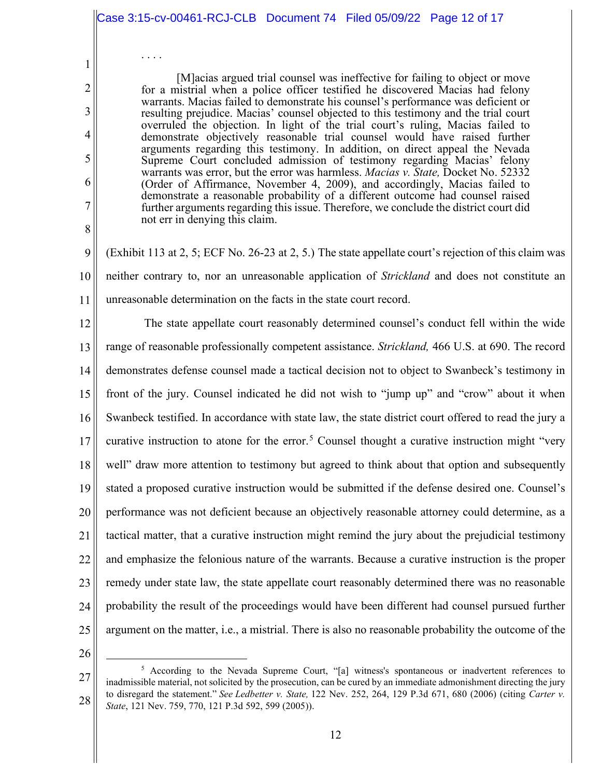|            | Case 3:15-cv-00461-RCJ-CLB  Document 74  Filed 05/09/22  Page 12 of 17                                                                                                                                                                                   |
|------------|----------------------------------------------------------------------------------------------------------------------------------------------------------------------------------------------------------------------------------------------------------|
| 1<br>2     | .<br>[M] acias argued trial counsel was ineffective for failing to object or move<br>for a mistrial when a police officer testified he discovered Macias had felony<br>warrants. Macias failed to demonstrate his counsel's performance was deficient or |
| 3          | resulting prejudice. Macias' counsel objected to this testimony and the trial court<br>overruled the objection. In light of the trial court's ruling, Macias failed to                                                                                   |
| 4          | demonstrate objectively reasonable trial counsel would have raised further<br>arguments regarding this testimony. In addition, on direct appeal the Nevada                                                                                               |
| 5          | Supreme Court concluded admission of testimony regarding Macias' felony<br>warrants was error, but the error was harmless. Macias v. State, Docket No. 52332                                                                                             |
| 6          | (Order of Affirmance, November 4, 2009), and accordingly, Macias failed to<br>demonstrate a reasonable probability of a different outcome had counsel raised                                                                                             |
| 7<br>$8\,$ | further arguments regarding this issue. Therefore, we conclude the district court did<br>not err in denying this claim.                                                                                                                                  |
| 9          | (Exhibit 113 at 2, 5; ECF No. 26-23 at 2, 5.) The state appellate court's rejection of this claim was                                                                                                                                                    |
| 10         | neither contrary to, nor an unreasonable application of <i>Strickland</i> and does not constitute an                                                                                                                                                     |
| 11         | unreasonable determination on the facts in the state court record.                                                                                                                                                                                       |
| 12         | The state appellate court reasonably determined counsel's conduct fell within the wide                                                                                                                                                                   |
| 13         | range of reasonable professionally competent assistance. Strickland, 466 U.S. at 690. The record                                                                                                                                                         |
| 14         | demonstrates defense counsel made a tactical decision not to object to Swanbeck's testimony in                                                                                                                                                           |
| 15         | front of the jury. Counsel indicated he did not wish to "jump up" and "crow" about it when                                                                                                                                                               |
| 16         | Swanbeck testified. In accordance with state law, the state district court offered to read the jury a                                                                                                                                                    |
| 17         | curative instruction to atone for the error. <sup>5</sup> Counsel thought a curative instruction might "very                                                                                                                                             |
| 18         | well" draw more attention to testimony but agreed to think about that option and subsequently                                                                                                                                                            |
| 19         | stated a proposed curative instruction would be submitted if the defense desired one. Counsel's                                                                                                                                                          |
| 20         | performance was not deficient because an objectively reasonable attorney could determine, as a                                                                                                                                                           |
| 21         | tactical matter, that a curative instruction might remind the jury about the prejudicial testimony                                                                                                                                                       |
| 22         | and emphasize the felonious nature of the warrants. Because a curative instruction is the proper                                                                                                                                                         |
| 23         | remedy under state law, the state appellate court reasonably determined there was no reasonable                                                                                                                                                          |
| 24         | probability the result of the proceedings would have been different had counsel pursued further                                                                                                                                                          |
| 25         | argument on the matter, i.e., a mistrial. There is also no reasonable probability the outcome of the                                                                                                                                                     |
| 26         |                                                                                                                                                                                                                                                          |

<sup>27</sup>  28 <sup>5</sup> According to the Nevada Supreme Court, "[a] witness's spontaneous or inadvertent references to inadmissible material, not solicited by the prosecution, can be cured by an immediate admonishment directing the jury to disregard the statement." *See Ledbetter v. State,* 122 Nev. 252, 264, 129 P.3d 671, 680 (2006) (citing *Carter v. State*, 121 Nev. 759, 770, 121 P.3d 592, 599 (2005)).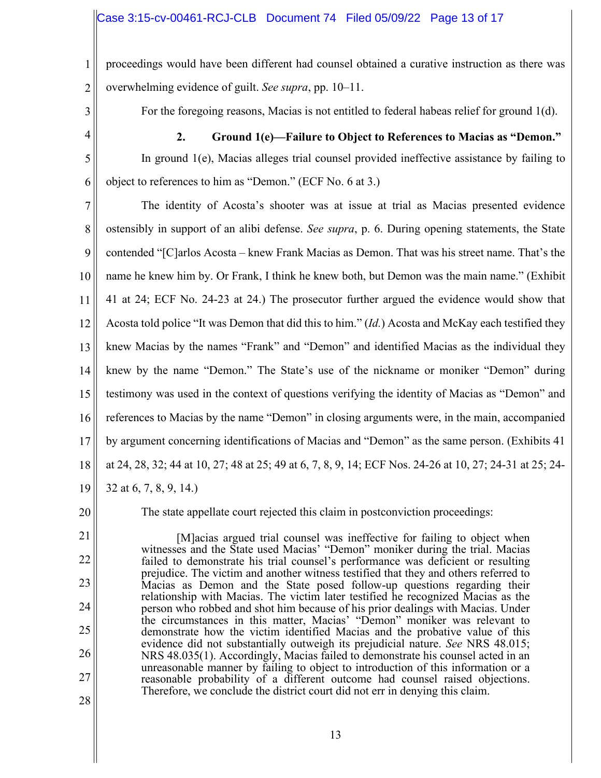1 2 proceedings would have been different had counsel obtained a curative instruction as there was overwhelming evidence of guilt. *See supra*, pp. 10–11.

3

For the foregoing reasons, Macias is not entitled to federal habeas relief for ground 1(d).

4

5

6

**2. Ground 1(e)—Failure to Object to References to Macias as "Demon."**  In ground 1(e), Macias alleges trial counsel provided ineffective assistance by failing to object to references to him as "Demon." (ECF No. 6 at 3.)

7 8 9 10 11 12 13 14 15 16 17 18 19 The identity of Acosta's shooter was at issue at trial as Macias presented evidence ostensibly in support of an alibi defense. *See supra*, p. 6. During opening statements, the State contended "[C]arlos Acosta – knew Frank Macias as Demon. That was his street name. That's the name he knew him by. Or Frank, I think he knew both, but Demon was the main name." (Exhibit 41 at 24; ECF No. 24-23 at 24.) The prosecutor further argued the evidence would show that Acosta told police "It was Demon that did this to him." (*Id.*) Acosta and McKay each testified they knew Macias by the names "Frank" and "Demon" and identified Macias as the individual they knew by the name "Demon." The State's use of the nickname or moniker "Demon" during testimony was used in the context of questions verifying the identity of Macias as "Demon" and references to Macias by the name "Demon" in closing arguments were, in the main, accompanied by argument concerning identifications of Macias and "Demon" as the same person. (Exhibits 41 at 24, 28, 32; 44 at 10, 27; 48 at 25; 49 at 6, 7, 8, 9, 14; ECF Nos. 24-26 at 10, 27; 24-31 at 25; 24- 32 at 6, 7, 8, 9, 14.)

20

The state appellate court rejected this claim in postconviction proceedings:

21 22 23 24 25 26 27 28 [M]acias argued trial counsel was ineffective for failing to object when witnesses and the State used Macias' "Demon" moniker during the trial. Macias failed to demonstrate his trial counsel's performance was deficient or resulting prejudice. The victim and another witness testified that they and others referred to Macias as Demon and the State posed follow-up questions regarding their relationship with Macias. The victim later testified he recognized Macias as the person who robbed and shot him because of his prior dealings with Macias. Under the circumstances in this matter, Macias' "Demon" moniker was relevant to demonstrate how the victim identified Macias and the probative value of this evidence did not substantially outweigh its prejudicial nature. *See* NRS 48.015; NRS 48.035(1). Accordingly, Macias failed to demonstrate his counsel acted in an unreasonable manner by failing to object to introduction of this information or a reasonable probability of a different outcome had counsel raised objections. Therefore, we conclude the district court did not err in denying this claim.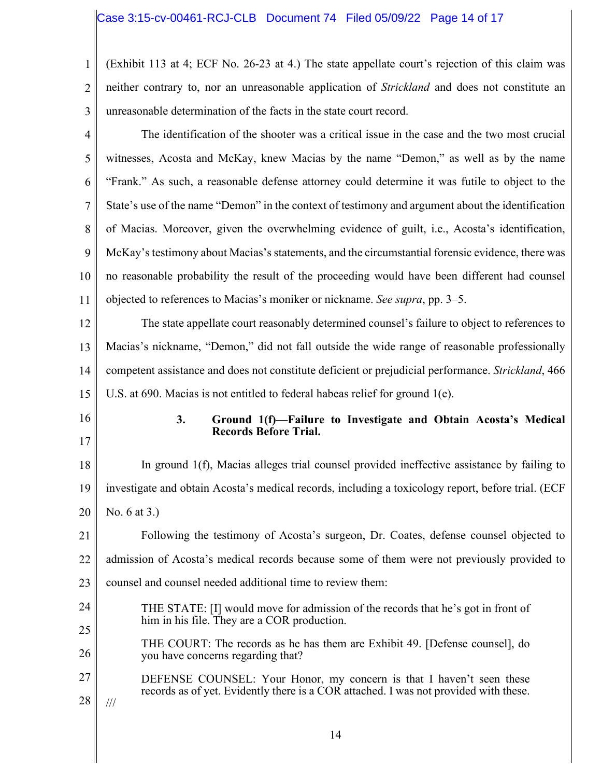1 2 3 (Exhibit 113 at 4; ECF No. 26-23 at 4.) The state appellate court's rejection of this claim was neither contrary to, nor an unreasonable application of *Strickland* and does not constitute an unreasonable determination of the facts in the state court record.

4 5 6 7 8 9 10 11 The identification of the shooter was a critical issue in the case and the two most crucial witnesses, Acosta and McKay, knew Macias by the name "Demon," as well as by the name "Frank." As such, a reasonable defense attorney could determine it was futile to object to the State's use of the name "Demon" in the context of testimony and argument about the identification of Macias. Moreover, given the overwhelming evidence of guilt, i.e., Acosta's identification, McKay's testimony about Macias's statements, and the circumstantial forensic evidence, there was no reasonable probability the result of the proceeding would have been different had counsel objected to references to Macias's moniker or nickname. *See supra*, pp. 3–5.

12 13 14 15 The state appellate court reasonably determined counsel's failure to object to references to Macias's nickname, "Demon," did not fall outside the wide range of reasonable professionally competent assistance and does not constitute deficient or prejudicial performance. *Strickland*, 466 U.S. at 690. Macias is not entitled to federal habeas relief for ground 1(e).

- 17
- 16

#### **3. Ground 1(f)—Failure to Investigate and Obtain Acosta's Medical Records Before Trial.**

18 19 20 In ground 1(f), Macias alleges trial counsel provided ineffective assistance by failing to investigate and obtain Acosta's medical records, including a toxicology report, before trial. (ECF No. 6 at 3.)

21 22 23 Following the testimony of Acosta's surgeon, Dr. Coates, defense counsel objected to admission of Acosta's medical records because some of them were not previously provided to counsel and counsel needed additional time to review them:

- 24 25 THE STATE: [I] would move for admission of the records that he's got in front of him in his file. They are a COR production.
- 26 THE COURT: The records as he has them are Exhibit 49. [Defense counsel], do you have concerns regarding that?
- 27 28 DEFENSE COUNSEL: Your Honor, my concern is that I haven't seen these records as of yet. Evidently there is a COR attached. I was not provided with these.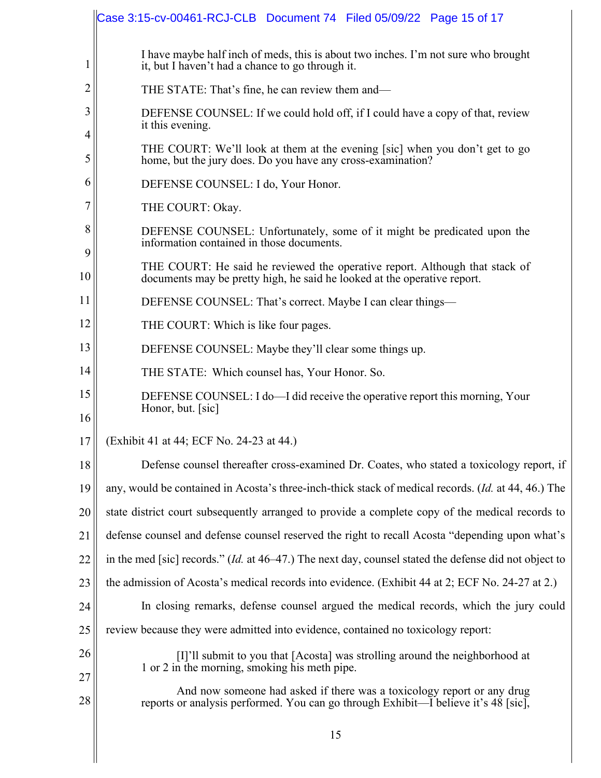|                | Case 3:15-cv-00461-RCJ-CLB Document 74 Filed 05/09/22 Page 15 of 17                                                                                     |  |
|----------------|---------------------------------------------------------------------------------------------------------------------------------------------------------|--|
| 1              | I have maybe half inch of meds, this is about two inches. I'm not sure who brought<br>it, but I haven't had a chance to go through it.                  |  |
| $\overline{2}$ | THE STATE: That's fine, he can review them and—                                                                                                         |  |
| 3<br>4         | DEFENSE COUNSEL: If we could hold off, if I could have a copy of that, review<br>it this evening.                                                       |  |
| 5              | THE COURT: We'll look at them at the evening [sic] when you don't get to go<br>home, but the jury does. Do you have any cross-examination?              |  |
| 6              | DEFENSE COUNSEL: I do, Your Honor.                                                                                                                      |  |
| 7              | THE COURT: Okay.                                                                                                                                        |  |
| 8<br>9         | DEFENSE COUNSEL: Unfortunately, some of it might be predicated upon the<br>information contained in those documents.                                    |  |
| 10             | THE COURT: He said he reviewed the operative report. Although that stack of<br>documents may be pretty high, he said he looked at the operative report. |  |
| 11             | DEFENSE COUNSEL: That's correct. Maybe I can clear things—                                                                                              |  |
| 12             | THE COURT: Which is like four pages.                                                                                                                    |  |
| 13             | DEFENSE COUNSEL: Maybe they'll clear some things up.                                                                                                    |  |
| 14             | THE STATE: Which counsel has, Your Honor. So.                                                                                                           |  |
| 15<br>16       | DEFENSE COUNSEL: I do—I did receive the operative report this morning, Your<br>Honor, but. [sic]                                                        |  |
| 17             | (Exhibit 41 at 44; ECF No. 24-23 at 44.)                                                                                                                |  |
| 18             | Defense counsel thereafter cross-examined Dr. Coates, who stated a toxicology report, if                                                                |  |
| 19             | any, would be contained in Acosta's three-inch-thick stack of medical records. ( <i>Id.</i> at 44, 46.) The                                             |  |
| 20             | state district court subsequently arranged to provide a complete copy of the medical records to                                                         |  |
| 21             | defense counsel and defense counsel reserved the right to recall Acosta "depending upon what's                                                          |  |
| 22             | in the med [sic] records." $(Id$ at 46–47.) The next day, counsel stated the defense did not object to                                                  |  |
| 23             | the admission of Acosta's medical records into evidence. (Exhibit 44 at 2; ECF No. 24-27 at 2.)                                                         |  |
| 24             | In closing remarks, defense counsel argued the medical records, which the jury could                                                                    |  |
| 25             | review because they were admitted into evidence, contained no toxicology report:                                                                        |  |
| 26             | [I]'ll submit to you that [Acosta] was strolling around the neighborhood at<br>1 or 2 in the morning, smoking his meth pipe.                            |  |
| 27             | And now someone had asked if there was a toxicology report or any drug                                                                                  |  |
| 28             | reports or analysis performed. You can go through Exhibit—I believe it's 48 [sic],                                                                      |  |
|                | 15                                                                                                                                                      |  |
|                |                                                                                                                                                         |  |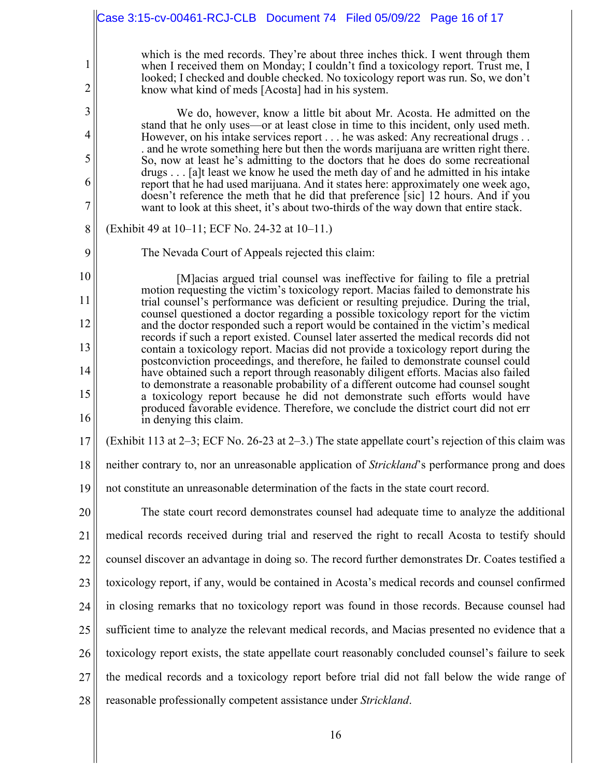|                     | Case 3:15-cv-00461-RCJ-CLB  Document 74  Filed 05/09/22  Page 16 of 17                                                                                                                                                                                                                                        |
|---------------------|---------------------------------------------------------------------------------------------------------------------------------------------------------------------------------------------------------------------------------------------------------------------------------------------------------------|
| 1<br>$\overline{c}$ | which is the med records. They're about three inches thick. I went through them<br>when I received them on Monday; I couldn't find a toxicology report. Trust me, I<br>looked; I checked and double checked. No toxicology report was run. So, we don't<br>know what kind of meds [Acosta] had in his system. |
| 3<br>4              | We do, however, know a little bit about Mr. Acosta. He admitted on the<br>stand that he only uses—or at least close in time to this incident, only used meth.<br>However, on his intake services report he was asked: Any recreational drugs                                                                  |
| 5                   | and he wrote something here but then the words marijuana are written right there.<br>So, now at least he's admitting to the doctors that he does do some recreational                                                                                                                                         |
| 6                   | drugs [a]t least we know he used the meth day of and he admitted in his intake<br>report that he had used marijuana. And it states here: approximately one week ago,                                                                                                                                          |
| 7                   | doesn't reference the meth that he did that preference [sic] 12 hours. And if you<br>want to look at this sheet, it's about two-thirds of the way down that entire stack.                                                                                                                                     |
| 8                   | (Exhibit 49 at 10–11; ECF No. 24-32 at 10–11.)                                                                                                                                                                                                                                                                |
| 9                   | The Nevada Court of Appeals rejected this claim:                                                                                                                                                                                                                                                              |
| 10                  | [M] acias argued trial counsel was ineffective for failing to file a pretrial<br>motion requesting the victim's toxicology report. Macias failed to demonstrate his                                                                                                                                           |
| 11                  | trial counsel's performance was deficient or resulting prejudice. During the trial,<br>counsel questioned a doctor regarding a possible toxicology report for the victim                                                                                                                                      |
| 12                  | and the doctor responded such a report would be contained in the victim's medical<br>records if such a report existed. Counsel later asserted the medical records did not                                                                                                                                     |
| 13                  | contain a toxicology report. Macias did not provide a toxicology report during the<br>postconviction proceedings, and therefore, he failed to demonstrate counsel could                                                                                                                                       |
| 14<br>15            | have obtained such a report through reasonably diligent efforts. Macias also failed<br>to demonstrate a reasonable probability of a different outcome had counsel sought                                                                                                                                      |
| 16                  | a toxicology report because he did not demonstrate such efforts would have<br>produced favorable evidence. Therefore, we conclude the district court did not err<br>in denying this claim.                                                                                                                    |
| 17                  | (Exhibit 113 at 2–3; ECF No. 26-23 at 2–3.) The state appellate court's rejection of this claim was                                                                                                                                                                                                           |
| 18                  | neither contrary to, nor an unreasonable application of Strickland's performance prong and does                                                                                                                                                                                                               |
| 19                  | not constitute an unreasonable determination of the facts in the state court record.                                                                                                                                                                                                                          |
| 20                  | The state court record demonstrates counsel had adequate time to analyze the additional                                                                                                                                                                                                                       |
| 21                  | medical records received during trial and reserved the right to recall Acosta to testify should                                                                                                                                                                                                               |
| 22                  | counsel discover an advantage in doing so. The record further demonstrates Dr. Coates testified a                                                                                                                                                                                                             |
| 23                  | toxicology report, if any, would be contained in Acosta's medical records and counsel confirmed                                                                                                                                                                                                               |
| 24                  | in closing remarks that no toxicology report was found in those records. Because counsel had                                                                                                                                                                                                                  |
| 25                  | sufficient time to analyze the relevant medical records, and Macias presented no evidence that a                                                                                                                                                                                                              |
| 26                  | toxicology report exists, the state appellate court reasonably concluded counsel's failure to seek                                                                                                                                                                                                            |
| 27                  | the medical records and a toxicology report before trial did not fall below the wide range of                                                                                                                                                                                                                 |
| 28                  | reasonable professionally competent assistance under Strickland.                                                                                                                                                                                                                                              |
|                     | 16                                                                                                                                                                                                                                                                                                            |

 $\mathbb{I}$